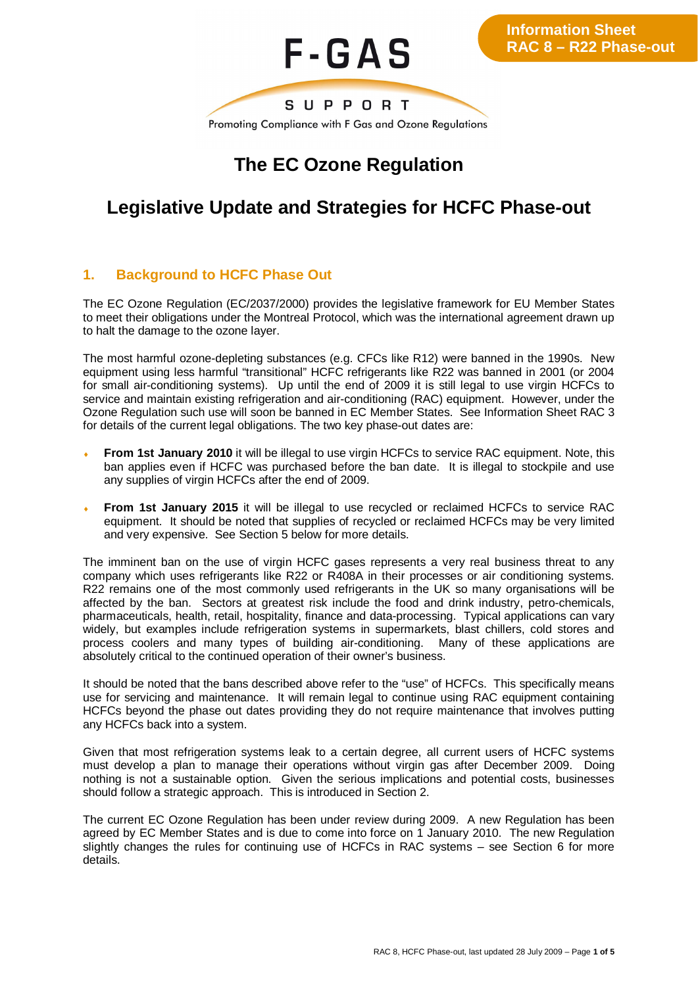

# **The EC Ozone Regulation**

# **Legislative Update and Strategies for HCFC Phase-out**

## **1. Background to HCFC Phase Out**

The EC Ozone Regulation (EC/2037/2000) provides the legislative framework for EU Member States to meet their obligations under the Montreal Protocol, which was the international agreement drawn up to halt the damage to the ozone layer.

The most harmful ozone-depleting substances (e.g. CFCs like R12) were banned in the 1990s. New equipment using less harmful "transitional" HCFC refrigerants like R22 was banned in 2001 (or 2004 for small air-conditioning systems). Up until the end of 2009 it is still legal to use virgin HCFCs to service and maintain existing refrigeration and air-conditioning (RAC) equipment. However, under the Ozone Regulation such use will soon be banned in EC Member States. See Information Sheet RAC 3 for details of the current legal obligations. The two key phase-out dates are:

- **From 1st January 2010** it will be illegal to use virgin HCFCs to service RAC equipment. Note, this ban applies even if HCFC was purchased before the ban date. It is illegal to stockpile and use any supplies of virgin HCFCs after the end of 2009.
- **From 1st January 2015** it will be illegal to use recycled or reclaimed HCFCs to service RAC equipment. It should be noted that supplies of recycled or reclaimed HCFCs may be very limited and very expensive. See Section 5 below for more details.

The imminent ban on the use of virgin HCFC gases represents a very real business threat to any company which uses refrigerants like R22 or R408A in their processes or air conditioning systems. R22 remains one of the most commonly used refrigerants in the UK so many organisations will be affected by the ban. Sectors at greatest risk include the food and drink industry, petro-chemicals, pharmaceuticals, health, retail, hospitality, finance and data-processing. Typical applications can vary widely, but examples include refrigeration systems in supermarkets, blast chillers, cold stores and process coolers and many types of building air-conditioning. Many of these applications are absolutely critical to the continued operation of their owner's business.

It should be noted that the bans described above refer to the "use" of HCFCs. This specifically means use for servicing and maintenance. It will remain legal to continue using RAC equipment containing HCFCs beyond the phase out dates providing they do not require maintenance that involves putting any HCFCs back into a system.

Given that most refrigeration systems leak to a certain degree, all current users of HCFC systems must develop a plan to manage their operations without virgin gas after December 2009. Doing nothing is not a sustainable option. Given the serious implications and potential costs, businesses should follow a strategic approach. This is introduced in Section 2.

The current EC Ozone Regulation has been under review during 2009. A new Regulation has been agreed by EC Member States and is due to come into force on 1 January 2010. The new Regulation slightly changes the rules for continuing use of HCFCs in RAC systems – see Section 6 for more details.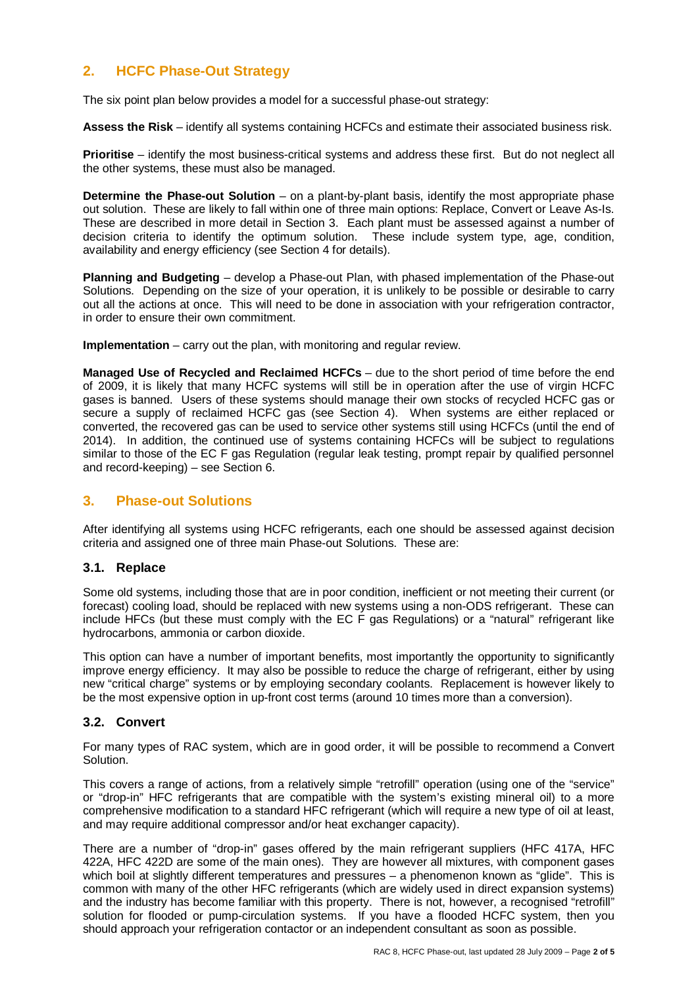# **2. HCFC Phase-Out Strategy**

The six point plan below provides a model for a successful phase-out strategy:

**Assess the Risk** – identify all systems containing HCFCs and estimate their associated business risk.

**Prioritise** – identify the most business-critical systems and address these first. But do not neglect all the other systems, these must also be managed.

**Determine the Phase-out Solution** – on a plant-by-plant basis, identify the most appropriate phase out solution. These are likely to fall within one of three main options: Replace, Convert or Leave As-Is. These are described in more detail in Section 3. Each plant must be assessed against a number of decision criteria to identify the optimum solution. These include system type, age, condition, availability and energy efficiency (see Section 4 for details).

**Planning and Budgeting** – develop a Phase-out Plan, with phased implementation of the Phase-out Solutions. Depending on the size of your operation, it is unlikely to be possible or desirable to carry out all the actions at once. This will need to be done in association with your refrigeration contractor, in order to ensure their own commitment.

**Implementation** – carry out the plan, with monitoring and regular review.

**Managed Use of Recycled and Reclaimed HCFCs** – due to the short period of time before the end of 2009, it is likely that many HCFC systems will still be in operation after the use of virgin HCFC gases is banned. Users of these systems should manage their own stocks of recycled HCFC gas or secure a supply of reclaimed HCFC gas (see Section 4). When systems are either replaced or converted, the recovered gas can be used to service other systems still using HCFCs (until the end of 2014). In addition, the continued use of systems containing HCFCs will be subject to regulations similar to those of the EC F gas Regulation (regular leak testing, prompt repair by qualified personnel and record-keeping) – see Section 6.

### **3. Phase-out Solutions**

After identifying all systems using HCFC refrigerants, each one should be assessed against decision criteria and assigned one of three main Phase-out Solutions. These are:

#### **3.1. Replace**

Some old systems, including those that are in poor condition, inefficient or not meeting their current (or forecast) cooling load, should be replaced with new systems using a non-ODS refrigerant. These can include HFCs (but these must comply with the EC F gas Regulations) or a "natural" refrigerant like hydrocarbons, ammonia or carbon dioxide.

This option can have a number of important benefits, most importantly the opportunity to significantly improve energy efficiency. It may also be possible to reduce the charge of refrigerant, either by using new "critical charge" systems or by employing secondary coolants. Replacement is however likely to be the most expensive option in up-front cost terms (around 10 times more than a conversion).

#### **3.2. Convert**

For many types of RAC system, which are in good order, it will be possible to recommend a Convert Solution.

This covers a range of actions, from a relatively simple "retrofill" operation (using one of the "service" or "drop-in" HFC refrigerants that are compatible with the system's existing mineral oil) to a more comprehensive modification to a standard HFC refrigerant (which will require a new type of oil at least, and may require additional compressor and/or heat exchanger capacity).

There are a number of "drop-in" gases offered by the main refrigerant suppliers (HFC 417A, HFC 422A, HFC 422D are some of the main ones). They are however all mixtures, with component gases which boil at slightly different temperatures and pressures - a phenomenon known as "glide". This is common with many of the other HFC refrigerants (which are widely used in direct expansion systems) and the industry has become familiar with this property. There is not, however, a recognised "retrofill" solution for flooded or pump-circulation systems. If you have a flooded HCFC system, then you should approach your refrigeration contactor or an independent consultant as soon as possible.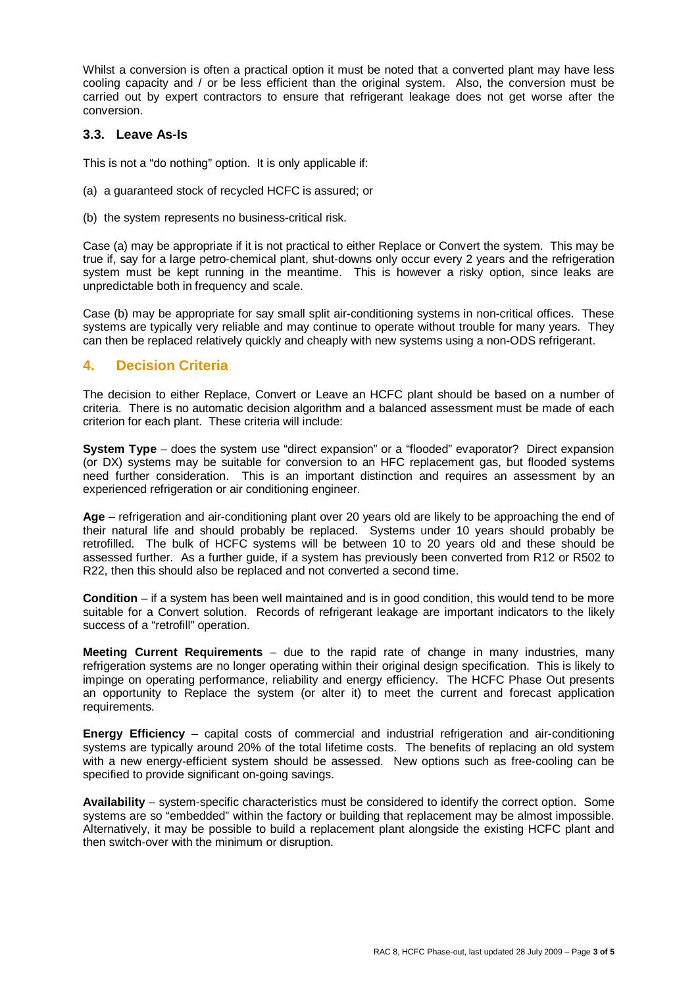Whilst a conversion is often a practical option it must be noted that a converted plant may have less cooling capacity and / or be less efficient than the original system. Also, the conversion must be carried out by expert contractors to ensure that refrigerant leakage does not get worse after the conversion.

#### **3.3. Leave As-Is**

This is not a "do nothing" option. It is only applicable if:

- (a) a guaranteed stock of recycled HCFC is assured; or
- (b) the system represents no business-critical risk.

Case (a) may be appropriate if it is not practical to either Replace or Convert the system. This may be true if, say for a large petro-chemical plant, shut-downs only occur every 2 years and the refrigeration system must be kept running in the meantime. This is however a risky option, since leaks are unpredictable both in frequency and scale.

Case (b) may be appropriate for say small split air-conditioning systems in non-critical offices. These systems are typically very reliable and may continue to operate without trouble for many years. They can then be replaced relatively quickly and cheaply with new systems using a non-ODS refrigerant.

### **4. Decision Criteria**

The decision to either Replace, Convert or Leave an HCFC plant should be based on a number of criteria. There is no automatic decision algorithm and a balanced assessment must be made of each criterion for each plant. These criteria will include:

**System Type** – does the system use "direct expansion" or a "flooded" evaporator? Direct expansion (or DX) systems may be suitable for conversion to an HFC replacement gas, but flooded systems need further consideration. This is an important distinction and requires an assessment by an experienced refrigeration or air conditioning engineer.

**Age** – refrigeration and air-conditioning plant over 20 years old are likely to be approaching the end of their natural life and should probably be replaced. Systems under 10 years should probably be retrofilled. The bulk of HCFC systems will be between 10 to 20 years old and these should be assessed further. As a further guide, if a system has previously been converted from R12 or R502 to R22, then this should also be replaced and not converted a second time.

**Condition** – if a system has been well maintained and is in good condition, this would tend to be more suitable for a Convert solution. Records of refrigerant leakage are important indicators to the likely success of a "retrofill" operation.

**Meeting Current Requirements** – due to the rapid rate of change in many industries, many refrigeration systems are no longer operating within their original design specification. This is likely to impinge on operating performance, reliability and energy efficiency. The HCFC Phase Out presents an opportunity to Replace the system (or alter it) to meet the current and forecast application requirements.

**Energy Efficiency** – capital costs of commercial and industrial refrigeration and air-conditioning systems are typically around 20% of the total lifetime costs. The benefits of replacing an old system with a new energy-efficient system should be assessed. New options such as free-cooling can be specified to provide significant on-going savings.

**Availability** – system-specific characteristics must be considered to identify the correct option. Some systems are so "embedded" within the factory or building that replacement may be almost impossible. Alternatively, it may be possible to build a replacement plant alongside the existing HCFC plant and then switch-over with the minimum or disruption.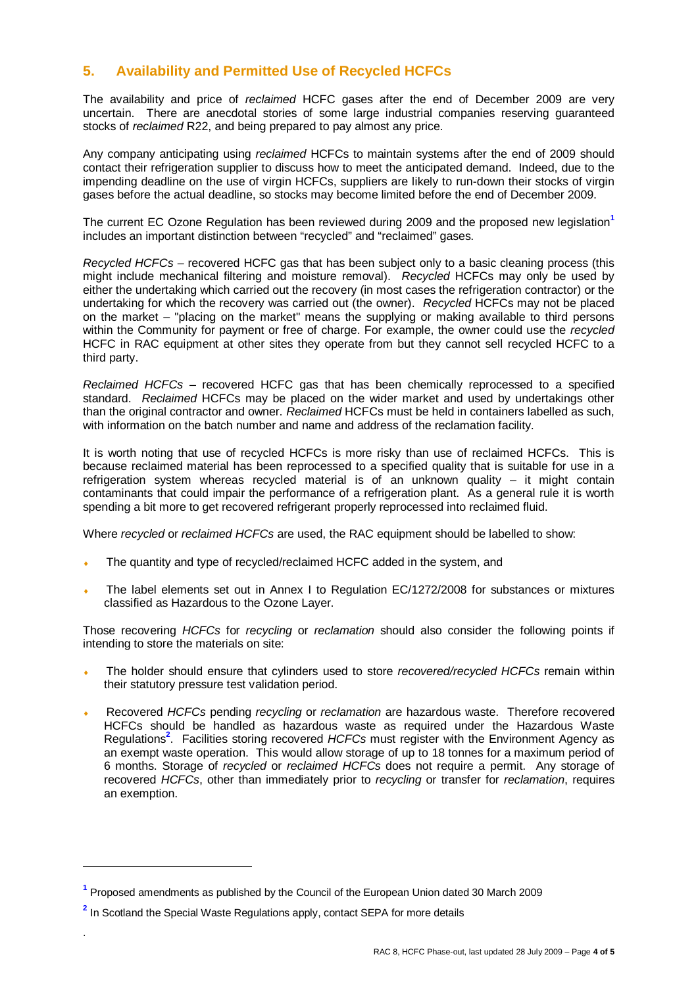# **5. Availability and Permitted Use of Recycled HCFCs**

The availability and price of *reclaimed* HCFC gases after the end of December 2009 are very uncertain. There are anecdotal stories of some large industrial companies reserving guaranteed stocks of *reclaimed* R22, and being prepared to pay almost any price.

Any company anticipating using *reclaimed* HCFCs to maintain systems after the end of 2009 should contact their refrigeration supplier to discuss how to meet the anticipated demand. Indeed, due to the impending deadline on the use of virgin HCFCs, suppliers are likely to run-down their stocks of virgin gases before the actual deadline, so stocks may become limited before the end of December 2009.

The current EC Ozone Regulation has been reviewed during 2009 and the proposed new legislation**<sup>1</sup>** includes an important distinction between "recycled" and "reclaimed" gases.

*Recycled HCFCs* – recovered HCFC gas that has been subject only to a basic cleaning process (this might include mechanical filtering and moisture removal). *Recycled* HCFCs may only be used by either the undertaking which carried out the recovery (in most cases the refrigeration contractor) or the undertaking for which the recovery was carried out (the owner). *Recycled* HCFCs may not be placed on the market – "placing on the market" means the supplying or making available to third persons within the Community for payment or free of charge. For example, the owner could use the *recycled* HCFC in RAC equipment at other sites they operate from but they cannot sell recycled HCFC to a third party.

*Reclaimed HCFCs* – recovered HCFC gas that has been chemically reprocessed to a specified standard. *Reclaimed* HCFCs may be placed on the wider market and used by undertakings other than the original contractor and owner. *Reclaimed* HCFCs must be held in containers labelled as such, with information on the batch number and name and address of the reclamation facility.

It is worth noting that use of recycled HCFCs is more risky than use of reclaimed HCFCs. This is because reclaimed material has been reprocessed to a specified quality that is suitable for use in a refrigeration system whereas recycled material is of an unknown quality – it might contain contaminants that could impair the performance of a refrigeration plant. As a general rule it is worth spending a bit more to get recovered refrigerant properly reprocessed into reclaimed fluid.

Where *recycled* or *reclaimed HCFCs* are used, the RAC equipment should be labelled to show:

- The quantity and type of recycled/reclaimed HCFC added in the system, and
- The label elements set out in Annex I to Regulation EC/1272/2008 for substances or mixtures classified as Hazardous to the Ozone Layer.

Those recovering *HCFCs* for *recycling* or *reclamation* should also consider the following points if intending to store the materials on site:

- <sup>i</sup> The holder should ensure that cylinders used to store *recovered/recycled HCFCs* remain within their statutory pressure test validation period.
- <sup>i</sup> Recovered *HCFCs* pending *recycling* or *reclamation* are hazardous waste. Therefore recovered HCFCs should be handled as hazardous waste as required under the Hazardous Waste Regulations**<sup>2</sup>** . Facilities storing recovered *HCFCs* must register with the Environment Agency as an exempt waste operation. This would allow storage of up to 18 tonnes for a maximum period of 6 months. Storage of *recycled* or *reclaimed HCFCs* does not require a permit. Any storage of recovered *HCFCs*, other than immediately prior to *recycling* or transfer for *reclamation*, requires an exemption.

.

**<sup>1</sup>** Proposed amendments as published by the Council of the European Union dated 30 March 2009

**<sup>2</sup>** In Scotland the Special Waste Regulations apply, contact SEPA for more details